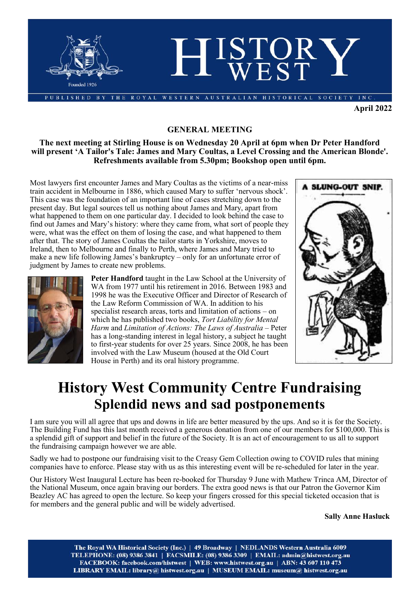

**April 2022**

### **GENERAL MEETING**

### **The next meeting at Stirling House is on Wednesday 20 April at 6pm when Dr Peter Handford will present 'A Tailor's Tale: James and Mary Coultas, a Level Crossing and the American Blonde'. Refreshments available from 5.30pm; Bookshop open until 6pm.**

Most lawyers first encounter James and Mary Coultas as the victims of a near-miss train accident in Melbourne in 1886, which caused Mary to suffer 'nervous shock'. This case was the foundation of an important line of cases stretching down to the present day. But legal sources tell us nothing about James and Mary, apart from what happened to them on one particular day. I decided to look behind the case to find out James and Mary's history: where they came from, what sort of people they were, what was the effect on them of losing the case, and what happened to them after that. The story of James Coultas the tailor starts in Yorkshire, moves to Ireland, then to Melbourne and finally to Perth, where James and Mary tried to make a new life following James's bankruptcy – only for an unfortunate error of judgment by James to create new problems.



**Peter Handford** taught in the Law School at the University of WA from 1977 until his retirement in 2016. Between 1983 and 1998 he was the Executive Officer and Director of Research of the Law Reform Commission of WA. In addition to his specialist research areas, torts and limitation of actions – on which he has published two books, *Tort Liability for Mental Harm* and *Limitation of Actions: The Laws of Australia* – Peter has a long-standing interest in legal history, a subject he taught to first-year students for over 25 years. Since 2008, he has been involved with the Law Museum (housed at the Old Court House in Perth) and its oral history programme.



# **History West Community Centre Fundraising Splendid news and sad postponements**

I am sure you will all agree that ups and downs in life are better measured by the ups. And so it is for the Society. The Building Fund has this last month received a generous donation from one of our members for \$100,000. This is a splendid gift of support and belief in the future of the Society. It is an act of encouragement to us all to support the fundraising campaign however we are able.

Sadly we had to postpone our fundraising visit to the Creasy Gem Collection owing to COVID rules that mining companies have to enforce. Please stay with us as this interesting event will be re-scheduled for later in the year.

Our History West Inaugural Lecture has been re-booked for Thursday 9 June with Mathew Trinca AM, Director of the National Museum, once again braving our borders. The extra good news is that our Patron the Governor Kim Beazley AC has agreed to open the lecture. So keep your fingers crossed for this special ticketed occasion that is for members and the general public and will be widely advertised.

**Sally Anne Hasluck** 

The Royal WA Historical Society (Inc.) | 49 Broadway | NEDLANDS Western Australia 6009 TELEPHONE: (08) 9386 3841 | FACSMILE: (08) 9386 3309 | EMAIL: admin@histwest.org.au FACEBOOK: facebook.com/histwest | WEB: www.histwest.org.au | ABN: 43 607 110 473 LIBRARY EMAIL: library@ histwest.org.au | MUSEUM EMAIL: museum@ histwest.org.au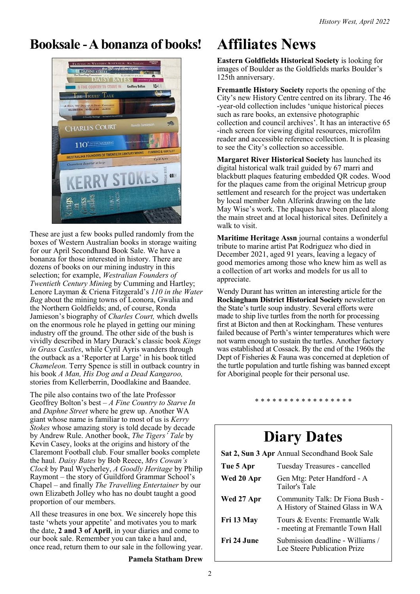# **Booksale -A bonanza of books! Affiliates News**



These are just a few books pulled randomly from the boxes of Western Australian books in storage waiting for our April Secondhand Book Sale. We have a bonanza for those interested in history. There are dozens of books on our mining industry in this selection; for example, *Westralian Founders of Twentieth Century Minin*g by Cumming and Hartley; Lenore Layman & Criena Fitzgerald's *110 in the Water Bag* about the mining towns of Leonora, Gwalia and the Northern Goldfields; and, of course, Ronda Jamieson's biography of *Charles Court,* which dwells on the enormous role he played in getting our mining industry off the ground. The other side of the bush is vividly described in Mary Durack's classic book *Kings in Grass Castles*, while Cyril Ayris wanders through the outback as a 'Reporter at Large' in his book titled *Chameleon.* Terry Spence is still in outback country in his book *A Man, His Dog and a Dead Kangaroo,*  stories from Kellerberrin, Doodlakine and Baandee.

The pile also contains two of the late Professor Geoffrey Bolton's best – *A Fine Country to Starve In* and *Daphne Street* where he grew up. Another WA giant whose name is familiar to most of us is *Kerry Stokes* whose amazing story is told decade by decade by Andrew Rule. Another book, *The Tigers' Tale* by Kevin Casey, looks at the origins and history of the Claremont Football club. Four smaller books complete the haul*. Daisy Bates* by Bob Reece, *Mrs Cowan's Clock* by Paul Wycherley, *A Goodly Heritage* by Philip Raymont – the story of Guildford Grammar School's Chapel – and finally *The Travelling Entertainer* by our own Elizabeth Jolley who has no doubt taught a good proportion of our members.

All these treasures in one box. We sincerely hope this taste 'whets your appetite' and motivates you to mark the date, **2 and 3 of April**, in your diaries and come to our book sale. Remember you can take a haul and, once read, return them to our sale in the following year.

**Pamela Statham Drew**

**Eastern Goldfields Historical Society** is looking for images of Boulder as the Goldfields marks Boulder's 125th anniversary.

**Fremantle History Society** reports the opening of the City's new History Centre centred on its library. The 46 -year-old collection includes 'unique historical pieces such as rare books, an extensive photographic collection and council archives'. It has an interactive 65 -inch screen for viewing digital resources, microfilm reader and accessible reference collection. It is pleasing to see the City's collection so accessible.

**Margaret River Historical Society** has launched its digital historical walk trail guided by 67 marri and blackbutt plaques featuring embedded QR codes. Wood for the plaques came from the original Metricup group settlement and research for the project was undertaken by local member John Alferink drawing on the late May Wise's work. The plaques have been placed along the main street and at local historical sites. Definitely a walk to visit.

**Maritime Heritage Assn** journal contains a wonderful tribute to marine artist Pat Rodriguez who died in December 2021, aged 91 years, leaving a legacy of good memories among those who knew him as well as a collection of art works and models for us all to appreciate.

Wendy Durant has written an interesting article for the **Rockingham District Historical Society** newsletter on the State's turtle soup industry. Several efforts were made to ship live turtles from the north for processing first at Bicton and then at Rockingham. These ventures failed because of Perth's winter temperatures which were not warm enough to sustain the turtles. Another factory was established at Cossack. By the end of the 1960s the Dept of Fisheries & Fauna was concerned at depletion of the turtle population and turtle fishing was banned except for Aboriginal people for their personal use.

\* \* \* \* \* \* \* \* \* \* \* \* \* \* \* \* \*

# **Diary Dates**

**Sat 2, Sun 3 Apr** Annual Secondhand Book Sale

| Tue 5 Apr   | Tuesday Treasures - cancelled                                       |
|-------------|---------------------------------------------------------------------|
| Wed 20 Apr  | Gen Mtg: Peter Handford - A<br>Tailor's Tale                        |
| Wed 27 Apr  | Community Talk: Dr Fiona Bush -<br>A History of Stained Glass in WA |
| Fri 13 May  | Tours & Events: Fremantle Walk<br>- meeting at Fremantle Town Hall  |
| Fri 24 June | Submission deadline - Williams /<br>Lee Steere Publication Prize    |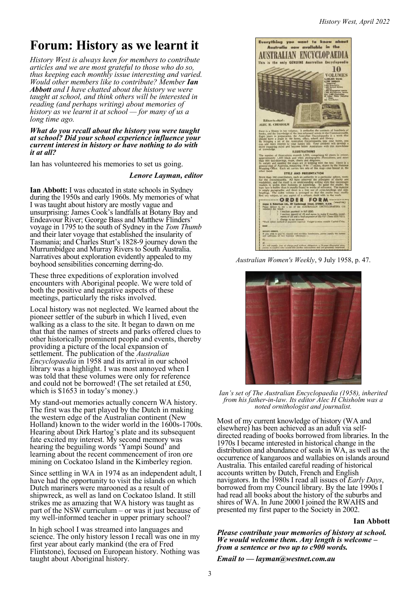### **Forum: History as we learnt it**

*History West is always keen for members to contribute articles and we are most grateful to those who do so, thus keeping each monthly issue interesting and varied. Would other members like to contribute? Member Ian Abbott and I have chatted about the history we were taught at school, and think others will be interested in reading (and perhaps writing) about memories of history as we learnt it at school — for many of us a long time ago.*

#### *What do you recall about the history you were taught at school? Did your school experience influence your current interest in history or have nothing to do with it at all?*

Ian has volunteered his memories to set us going.

### *Lenore Layman, editor*

**Ian Abbott:** I was educated in state schools in Sydney during the 1950s and early 1960s. My memories of what I was taught about history are mostly vague and unsurprising: James Cook's landfalls at Botany Bay and Endeavour River; George Bass and Matthew Flinders' voyage in 1795 to the south of Sydney in the *Tom Thumb* and their later voyage that established the insularity of Tasmania; and Charles Sturt's 1828-9 journey down the Murrumbidgee and Murray Rivers to South Australia. Narratives about exploration evidently appealed to my boyhood sensibilities concerning derring-do.

These three expeditions of exploration involved encounters with Aboriginal people. We were told of both the positive and negative aspects of these meetings, particularly the risks involved.

Local history was not neglected. We learned about the pioneer settler of the suburb in which I lived, even walking as a class to the site. It began to dawn on me that that the names of streets and parks offered clues to other historically prominent people and events, thereby providing a picture of the local expansion of settlement. The publication of the *Australian Encyclopaedia* in 1958 and its arrival in our school library was a highlight. I was most annoyed when I was told that these volumes were only for reference and could not be borrowed! (The set retailed at £50, which is \$1653 in today's money.)

My stand-out memories actually concern WA history. The first was the part played by the Dutch in making the western edge of the Australian continent (New Holland) known to the wider world in the 1600s-1700s. Hearing about Dirk Hartog's plate and its subsequent fate excited my interest. My second memory was hearing the beguiling words 'Yampi Sound' and learning about the recent commencement of iron ore mining on Cockatoo Island in the Kimberley region.

Since settling in WA in 1974 as an independent adult, I have had the opportunity to visit the islands on which Dutch mariners were marooned as a result of shipwreck, as well as land on Cockatoo Island. It still strikes me as amazing that WA history was taught as part of the NSW curriculum – or was it just because of my well-informed teacher in upper primary school?

In high school I was streamed into languages and science. The only history lesson I recall was one in my first year about early mankind (the era of Fred Flintstone), focused on European history. Nothing was taught about Aboriginal history.



*Australian Women's Weekly*, 9 July 1958, p. 47.



*Ian's set of The Australian Encyclopaedia (1958), inherited from his father-in-law. Its editor Alec H Chisholm was a noted ornithologist and journalist.*

Most of my current knowledge of history (WA and elsewhere) has been achieved as an adult via selfdirected reading of books borrowed from libraries. In the 1970s I became interested in historical change in the distribution and abundance of seals in WA, as well as the occurrence of kangaroos and wallabies on islands around Australia. This entailed careful reading of historical accounts written by Dutch, French and English navigators. In the 1980s I read all issues of *Early Days*, borrowed from my Council library. By the late 1990s I had read all books about the history of the suburbs and shires of WA. In June 2000 I joined the RWAHS and presented my first paper to the Society in 2002.

### **Ian Abbott**

*Please contribute your memories of history at school. We would welcome them. Any length is welcome – from a sentence or two up to c900 words.* 

*Email to — layman@westnet.com.au*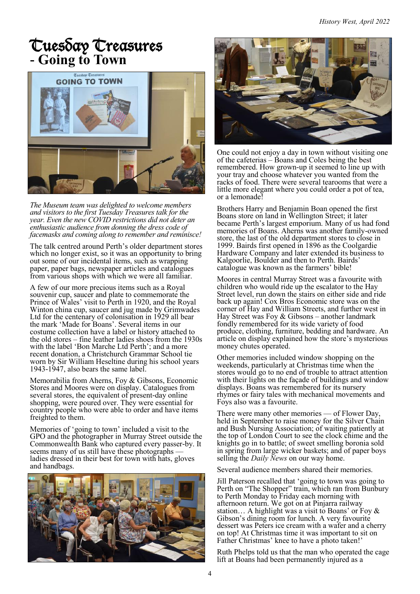## Tuesday Treasures **- Going to Town**



*The Museum team was delighted to welcome members and visitors to the first Tuesday Treasures talk for the year. Even the new COVID restrictions did not deter an enthusiastic audience from donning the dress code of facemasks and coming along to remember and reminisce!*

The talk centred around Perth's older department stores which no longer exist, so it was an opportunity to bring out some of our incidental items, such as wrapping paper, paper bags, newspaper articles and catalogues from various shops with which we were all familiar.

A few of our more precious items such as a Royal souvenir cup, saucer and plate to commemorate the Prince of Wales' visit to Perth in 1920, and the Royal Winton china cup, saucer and jug made by Grimwades Ltd for the centenary of colonisation in 1929 all bear the mark 'Made for Boans'. Several items in our costume collection have a label or history attached to the old stores – fine leather ladies shoes from the 1930s with the label 'Bon Marche Ltd Perth'; and a more recent donation, a Christchurch Grammar School tie worn by Sir William Heseltine during his school years 1943-1947, also bears the same label.

Memorabilia from Aherns, Foy & Gibsons, Economic Stores and Moores were on display. Catalogues from several stores, the equivalent of present-day online shopping, were poured over. They were essential for country people who were able to order and have items freighted to them.

Memories of 'going to town' included a visit to the GPO and the photographer in Murray Street outside the Commonwealth Bank who captured every passer-by. It seems many of us still have these photographs ladies dressed in their best for town with hats, gloves and handbags.





One could not enjoy a day in town without visiting one of the cafeterias – Boans and Coles being the best remembered. How grown-up it seemed to line up with your tray and choose whatever you wanted from the racks of food. There were several tearooms that were a little more elegant where you could order a pot of tea, or a lemonade!

Brothers Harry and Benjamin Boan opened the first Boans store on land in Wellington Street; it later became Perth's largest emporium. Many of us had fond memories of Boans. Aherns was another family-owned store, the last of the old department stores to close in 1999. Bairds first opened in 1896 as the Coolgardie Hardware Company and later extended its business to Kalgoorlie, Boulder and then to Perth. Bairds' catalogue was known as the farmers' bible!

Moores in central Murray Street was a favourite with children who would ride up the escalator to the Hay Street level, run down the stairs on either side and ride back up again! Cox Bros Economic store was on the corner of Hay and William Streets, and further west in Hay Street was Foy & Gibsons – another landmark fondly remembered for its wide variety of food produce, clothing, furniture, bedding and hardware. An article on display explained how the store's mysterious money chutes operated.

Other memories included window shopping on the weekends, particularly at Christmas time when the stores would go to no end of trouble to attract attention with their lights on the façade of buildings and window displays. Boans was remembered for its nursery rhymes or fairy tales with mechanical movements and Foys also was a favourite.

There were many other memories — of Flower Day, held in September to raise money for the Silver Chain and Bush Nursing Association; of waiting patiently at the top of London Court to see the clock chime and the knights go in to battle; of sweet smelling boronia sold in spring from large wicker baskets; and of paper boys selling the *Daily News* on our way home.

Several audience members shared their memories.

Jill Paterson recalled that 'going to town was going to Perth on "The Shopper" train, which ran from Bunbury to Perth Monday to Friday each morning with afternoon return. We got on at Pinjarra railway station… A highlight was a visit to Boans' or Foy & Gibson's dining room for lunch. A very favourite dessert was Peters ice cream with a wafer and a cherry on top! At Christmas time it was important to sit on Father Christmas' knee to have a photo taken!'

Ruth Phelps told us that the man who operated the cage lift at Boans had been permanently injured as a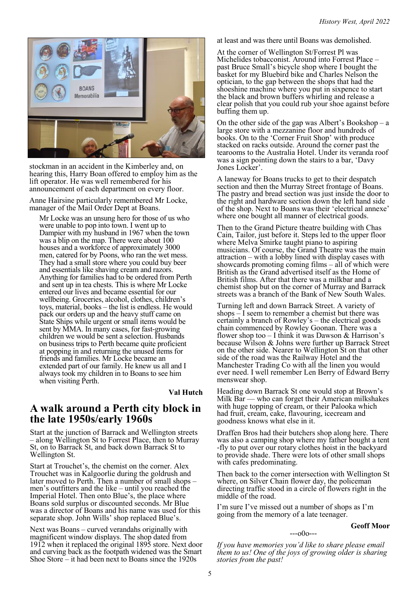

stockman in an accident in the Kimberley and, on hearing this, Harry Boan offered to employ him as the lift operator. He was well remembered for his announcement of each department on every floor.

Anne Hairsine particularly remembered Mr Locke, manager of the Mail Order Dept at Boans.

Mr Locke was an unsung hero for those of us who were unable to pop into town. I went up to Dampier with my husband in 1967 when the town was a blip on the map. There were about 100 houses and a workforce of approximately 3000 men, catered for by Poons, who ran the wet mess. They had a small store where you could buy beer and essentials like shaving cream and razors. Anything for families had to be ordered from Perth and sent up in tea chests. This is where Mr Locke entered our lives and became essential for our wellbeing. Groceries, alcohol, clothes, children's toys, material, books – the list is endless. He would pack our orders up and the heavy stuff came on State Ships while urgent or small items would be sent by MMA. In many cases, for fast-growing children we would be sent a selection. Husbands on business trips to Perth became quite proficient at popping in and returning the unused items for friends and families. Mr Locke became an extended part of our family. He knew us all and I always took my children in to Boans to see him when visiting Perth.

**Val Hutch**

### **A walk around a Perth city block in the late 1950s/early 1960s**

Start at the junction of Barrack and Wellington streets – along Wellington St to Forrest Place, then to Murray St, on to Barrack St, and back down Barrack St to Wellington St.

Start at Trouchet's, the chemist on the corner. Alex Trouchet was in Kalgoorlie during the goldrush and later moved to Perth. Then a number of small shops – men's outfitters and the like – until you reached the Imperial Hotel. Then onto Blue's, the place where Boans sold surplus or discounted seconds. Mr Blue was a director of Boans and his name was used for this separate shop. John Wills' shop replaced Blue's.

Next was Boans – curved verandahs originally with magnificent window displays. The shop dated from 1912 when it replaced the original 1895 store. Next door and curving back as the footpath widened was the Smart Shoe Store – it had been next to Boans since the 1920s

at least and was there until Boans was demolished.

At the corner of Wellington St/Forrest Pl was Michelides tobacconist. Around into Forrest Place – past Bruce Small's bicycle shop where I bought the basket for my Bluebird bike and Charles Nelson the optician, to the gap between the shops that had the shoeshine machine where you put in sixpence to start the black and brown buffers whirling and release a clear polish that you could rub your shoe against before buffing them up.

On the other side of the gap was Albert's Bookshop – a large store with a mezzanine floor and hundreds of books. On to the 'Corner Fruit Shop' with produce stacked on racks outside. Around the corner past the tearooms to the Australia Hotel. Under its veranda roof was a sign pointing down the stairs to a bar, 'Davy Jones Locker'.

A laneway for Boans trucks to get to their despatch section and then the Murray Street frontage of Boans. The pastry and bread section was just inside the door to the right and hardware section down the left hand side of the shop. Next to Boans was their 'electrical annexe' where one bought all manner of electrical goods.

Then to the Grand Picture theatre building with Chas Cain, Tailor, just before it. Steps led to the upper floor where Melva Smirke taught piano to aspiring musicians. Of course, the Grand Theatre was the main attraction – with a lobby lined with display cases with showcards promoting coming films – all of which were British as the Grand advertised itself as the Home of British films. After that there was a milkbar and a chemist shop but on the corner of Murray and Barrack streets was a branch of the Bank of New South Wales.

Turning left and down Barrack Street. A variety of shops – I seem to remember a chemist but there was certainly a branch of Rowley's – the electrical goods chain commenced by Rowley Goonan. There was a flower shop too  $-$  I think it was Dawson & Harrison's because Wilson & Johns were further up Barrack Street on the other side. Nearer to Wellington St on that other side of the road was the Railway Hotel and the Manchester Trading Co with all the linen you would ever need. I well remember Len Berry of Edward Berry menswear shop.

Heading down Barrack St one would stop at Brown's Milk Bar — who can forget their American milkshakes with huge topping of cream, or their Palooka which had fruit, cream, cake, flavouring, icecream and goodness knows what else in it.

Draffen Bros had their butchers shop along here. There was also a camping shop where my father bought a tent -fly to put over our rotary clothes hoist in the backyard to provide shade. There were lots of other small shops with cafes predominating.

Then back to the corner intersection with Wellington St where, on Silver Chain flower day, the policeman directing traffic stood in a circle of flowers right in the middle of the road.

I'm sure I've missed out a number of shops as I'm going from the memory of a late teenager.

### **Geoff Moor**

*If you have memories you'd like to share please email them to us! One of the joys of growing older is sharing stories from the past!*

 $--000--$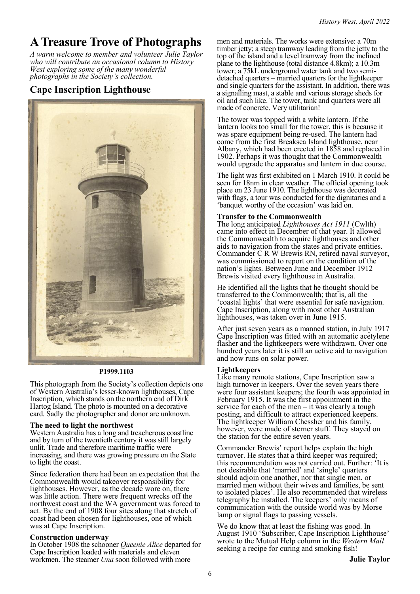### **A Treasure Trove of Photographs**

*A warm welcome to member and volunteer Julie Taylor who will contribute an occasional column to History West exploring some of the many wonderful photographs in the Society's collection.*

### **Cape Inscription Lighthouse**



### **P1999.1103**

This photograph from the Society's collection depicts one of Western Australia's lesser-known lighthouses, Cape Inscription, which stands on the northern end of Dirk Hartog Island. The photo is mounted on a decorative card. Sadly the photographer and donor are unknown.

### **The need to light the northwest**

Western Australia has a long and treacherous coastline and by turn of the twentieth century it was still largely unlit. Trade and therefore maritime traffic were increasing, and there was growing pressure on the State to light the coast.

Since federation there had been an expectation that the Commonwealth would takeover responsibility for lighthouses. However, as the decade wore on, there was little action. There were frequent wrecks off the northwest coast and the WA government was forced to act. By the end of 1908 four sites along that stretch of coast had been chosen for lighthouses, one of which was at Cape Inscription.

### **Construction underway**

In October 1908 the schooner *Queenie Alice* departed for Cape Inscription loaded with materials and eleven workmen. The steamer *Una* soon followed with more

men and materials. The works were extensive: a 70m timber jetty; a steep tramway leading from the jetty to the top of the island and a level tramway from the inclined plane to the lighthouse (total distance 4.8km); a 10.3m tower; a 75kL underground water tank and two semidetached quarters – married quarters for the lightkeeper and single quarters for the assistant. In addition, there was a signalling mast, a stable and various storage sheds for oil and such like. The tower, tank and quarters were all made of concrete. Very utilitarian!

The tower was topped with a white lantern. If the lantern looks too small for the tower, this is because it was spare equipment being re-used. The lantern had come from the first Breaksea Island lighthouse, near Albany, which had been erected in 1858 and replaced in 1902. Perhaps it was thought that the Commonwealth would upgrade the apparatus and lantern in due course.

The light was first exhibited on 1 March 1910. It could be seen for 18nm in clear weather. The official opening took place on 23 June 1910. The lighthouse was decorated with flags, a tour was conducted for the dignitaries and a 'banquet worthy of the occasion' was laid on.

### **Transfer to the Commonwealth**

The long anticipated *Lighthouses Act 1911* (Cwlth) came into effect in December of that year. It allowed the Commonwealth to acquire lighthouses and other aids to navigation from the states and private entities. Commander C R W Brewis RN, retired naval surveyor, was commissioned to report on the condition of the nation's lights. Between June and December 1912 Brewis visited every lighthouse in Australia.

He identified all the lights that he thought should be transferred to the Commonwealth; that is, all the 'coastal lights' that were essential for safe navigation. Cape Inscription, along with most other Australian lighthouses, was taken over in June 1915.

After just seven years as a manned station, in July 1917 Cape Inscription was fitted with an automatic acetylene flasher and the lightkeepers were withdrawn. Over one hundred years later it is still an active aid to navigation and now runs on solar power.

### **Lightkeepers**

Like many remote stations, Cape Inscription saw a high turnover in keepers. Over the seven years there were four assistant keepers; the fourth was appointed in February 1915. It was the first appointment in the service for each of the men  $-$  it was clearly a tough posting, and difficult to attract experienced keepers. The lightkeeper William Chessher and his family, however, were made of sterner stuff. They stayed on the station for the entire seven years.

Commander Brewis' report helps explain the high turnover. He states that a third keeper was required; this recommendation was not carried out. Further: 'It is not desirable that 'married' and 'single' quarters should adjoin one another, nor that single men, or married men without their wives and families, be sent to isolated places'. He also recommended that wireless telegraphy be installed. The keepers' only means of communication with the outside world was by Morse lamp or signal flags to passing vessels.

We do know that at least the fishing was good. In August 1910 'Subscriber, Cape Inscription Lighthouse' wrote to the Mutual Help column in the *Western Mail* seeking a recipe for curing and smoking fish!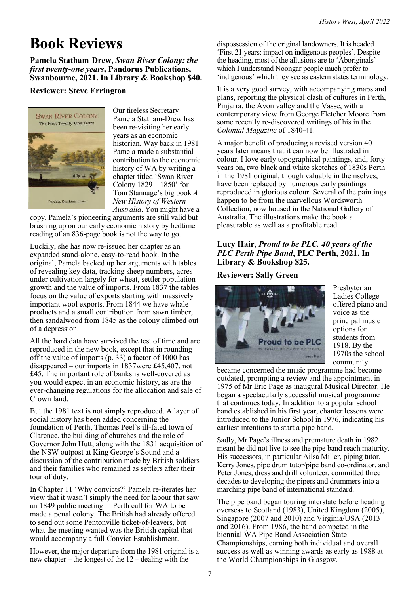# **Book Reviews**

### **Pamela Statham-Drew,** *Swan River Colony: the first twenty-one years***, Pandorus Publications, Swanbourne, 2021. In Library & Bookshop \$40.**

### **Reviewer: Steve Errington**



Our tireless Secretary Pamela Statham-Drew has been re-visiting her early years as an economic historian. Way back in 1981 Pamela made a substantial contribution to the economic history of WA by writing a chapter titled 'Swan River Colony 1829 – 1850' for Tom Stannage's big book *A New History of Western Australia*. You might have a

copy. Pamela's pioneering arguments are still valid but brushing up on our early economic history by bedtime reading of an 836-page book is not the way to go.

Luckily, she has now re-issued her chapter as an expanded stand-alone, easy-to-read book. In the original, Pamela backed up her arguments with tables of revealing key data, tracking sheep numbers, acres under cultivation largely for wheat, settler population growth and the value of imports. From 1837 the tables focus on the value of exports starting with massively important wool exports. From 1844 we have whale products and a small contribution from sawn timber, then sandalwood from 1845 as the colony climbed out of a depression.

All the hard data have survived the test of time and are reproduced in the new book, except that in rounding off the value of imports (p. 33) a factor of 1000 has disappeared – our imports in 1837were £45,407, not £45. The important role of banks is well-covered as you would expect in an economic history, as are the ever-changing regulations for the allocation and sale of Crown land.

But the 1981 text is not simply reproduced. A layer of social history has been added concerning the foundation of Perth, Thomas Peel's ill-fated town of Clarence, the building of churches and the role of Governor John Hutt, along with the 1831 acquisition of the NSW outpost at King George's Sound and a discussion of the contribution made by British soldiers and their families who remained as settlers after their tour of duty.

In Chapter 11 'Why convicts?' Pamela re-iterates her view that it wasn't simply the need for labour that saw an 1849 public meeting in Perth call for WA to be made a penal colony. The British had already offered to send out some Pentonville ticket-of-leavers, but what the meeting wanted was the British capital that would accompany a full Convict Establishment.

However, the major departure from the 1981 original is a new chapter – the longest of the 12 – dealing with the

dispossession of the original landowners. It is headed 'First 21 years: impact on indigenous peoples'. Despite the heading, most of the allusions are to 'Aboriginals' which I understand Noongar people much prefer to 'indigenous' which they see as eastern states terminology.

It is a very good survey, with accompanying maps and plans, reporting the physical clash of cultures in Perth, Pinjarra, the Avon valley and the Vasse, with a contemporary view from George Fletcher Moore from some recently re-discovered writings of his in the *Colonial Magazine* of 1840-41.

A major benefit of producing a revised version 40 years later means that it can now be illustrated in colour. I love early topographical paintings, and, forty years on, two black and white sketches of 1830s Perth in the 1981 original, though valuable in themselves, have been replaced by numerous early paintings reproduced in glorious colour. Several of the paintings happen to be from the marvellous Wordsworth Collection, now housed in the National Gallery of Australia. The illustrations make the book a pleasurable as well as a profitable read.

### **Lucy Hair,** *Proud to be PLC. 40 years of the PLC Perth Pipe Band***, PLC Perth, 2021. In Library & Bookshop \$25.**

### **Reviewer: Sally Green**



Presbyterian Ladies College offered piano and voice as the principal music options for students from 1918. By the 1970s the school community

became concerned the music programme had become outdated, prompting a review and the appointment in 1975 of Mr Eric Page as inaugural Musical Director. He began a spectacularly successful musical programme that continues today. In addition to a popular school band established in his first year, chanter lessons were introduced to the Junior School in 1976, indicating his earliest intentions to start a pipe band.

Sadly, Mr Page's illness and premature death in 1982 meant he did not live to see the pipe band reach maturity. His successors, in particular Ailsa Miller, piping tutor, Kerry Jones, pipe drum tutor/pipe band co-ordinator, and Peter Jones, dress and drill volunteer, committed three decades to developing the pipers and drummers into a marching pipe band of international standard.

The pipe band began touring interstate before heading overseas to Scotland (1983), United Kingdom (2005), Singapore (2007 and 2010) and Virginia/USA (2013 and 2016). From 1986, the band competed in the biennial WA Pipe Band Association State Championships, earning both individual and overall success as well as winning awards as early as 1988 at the World Championships in Glasgow.